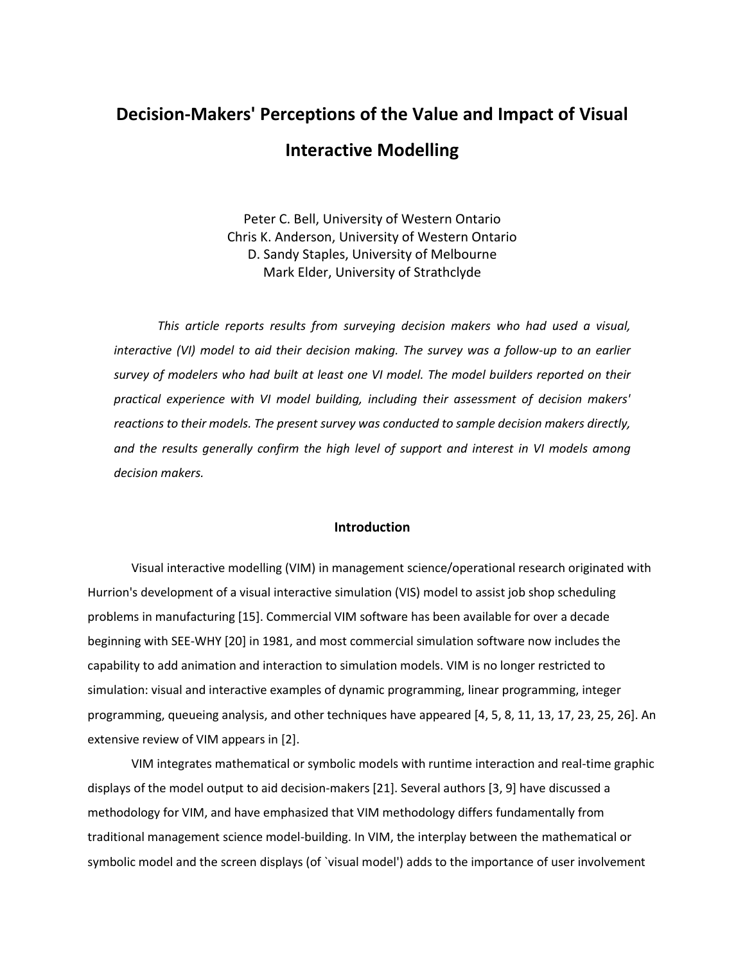# **Decision-Makers' Perceptions of the Value and Impact of Visual Interactive Modelling**

Peter C. Bell, University of Western Ontario Chris K. Anderson, University of Western Ontario D. Sandy Staples, University of Melbourne Mark Elder, University of Strathclyde

*This article reports results from surveying decision makers who had used a visual, interactive (VI) model to aid their decision making. The survey was a follow-up to an earlier survey of modelers who had built at least one VI model. The model builders reported on their practical experience with VI model building, including their assessment of decision makers' reactions to their models. The present survey was conducted to sample decision makers directly, and the results generally confirm the high level of support and interest in VI models among decision makers.*

# **Introduction**

Visual interactive modelling (VIM) in management science/operational research originated with Hurrion's development of a visual interactive simulation (VIS) model to assist job shop scheduling problems in manufacturing [15]. Commercial VIM software has been available for over a decade beginning with SEE-WHY [20] in 1981, and most commercial simulation software now includes the capability to add animation and interaction to simulation models. VIM is no longer restricted to simulation: visual and interactive examples of dynamic programming, linear programming, integer programming, queueing analysis, and other techniques have appeared [4, 5, 8, 11, 13, 17, 23, 25, 26]. An extensive review of VIM appears in [2].

VIM integrates mathematical or symbolic models with runtime interaction and real-time graphic displays of the model output to aid decision-makers [21]. Several authors [3, 9] have discussed a methodology for VIM, and have emphasized that VIM methodology differs fundamentally from traditional management science model-building. In VIM, the interplay between the mathematical or symbolic model and the screen displays (of `visual model') adds to the importance of user involvement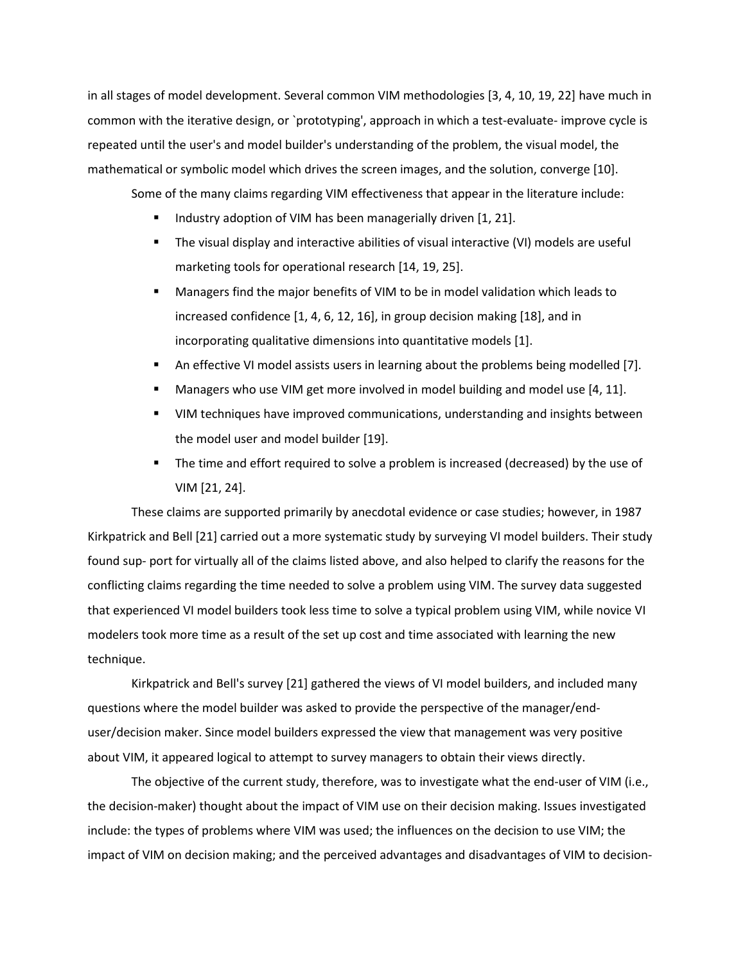in all stages of model development. Several common VIM methodologies [3, 4, 10, 19, 22] have much in common with the iterative design, or `prototyping', approach in which a test-evaluate- improve cycle is repeated until the user's and model builder's understanding of the problem, the visual model, the mathematical or symbolic model which drives the screen images, and the solution, converge [10].

Some of the many claims regarding VIM effectiveness that appear in the literature include:

- Industry adoption of VIM has been managerially driven [1, 21].
- The visual display and interactive abilities of visual interactive (VI) models are useful marketing tools for operational research [14, 19, 25].
- Managers find the major benefits of VIM to be in model validation which leads to increased confidence [1, 4, 6, 12, 16], in group decision making [18], and in incorporating qualitative dimensions into quantitative models [1].
- An effective VI model assists users in learning about the problems being modelled [7].
- Managers who use VIM get more involved in model building and model use [4, 11].
- VIM techniques have improved communications, understanding and insights between the model user and model builder [19].
- The time and effort required to solve a problem is increased (decreased) by the use of VIM [21, 24].

These claims are supported primarily by anecdotal evidence or case studies; however, in 1987 Kirkpatrick and Bell [21] carried out a more systematic study by surveying VI model builders. Their study found sup- port for virtually all of the claims listed above, and also helped to clarify the reasons for the conflicting claims regarding the time needed to solve a problem using VIM. The survey data suggested that experienced VI model builders took less time to solve a typical problem using VIM, while novice VI modelers took more time as a result of the set up cost and time associated with learning the new technique.

Kirkpatrick and Bell's survey [21] gathered the views of VI model builders, and included many questions where the model builder was asked to provide the perspective of the manager/enduser/decision maker. Since model builders expressed the view that management was very positive about VIM, it appeared logical to attempt to survey managers to obtain their views directly.

The objective of the current study, therefore, was to investigate what the end-user of VIM (i.e., the decision-maker) thought about the impact of VIM use on their decision making. Issues investigated include: the types of problems where VIM was used; the influences on the decision to use VIM; the impact of VIM on decision making; and the perceived advantages and disadvantages of VIM to decision-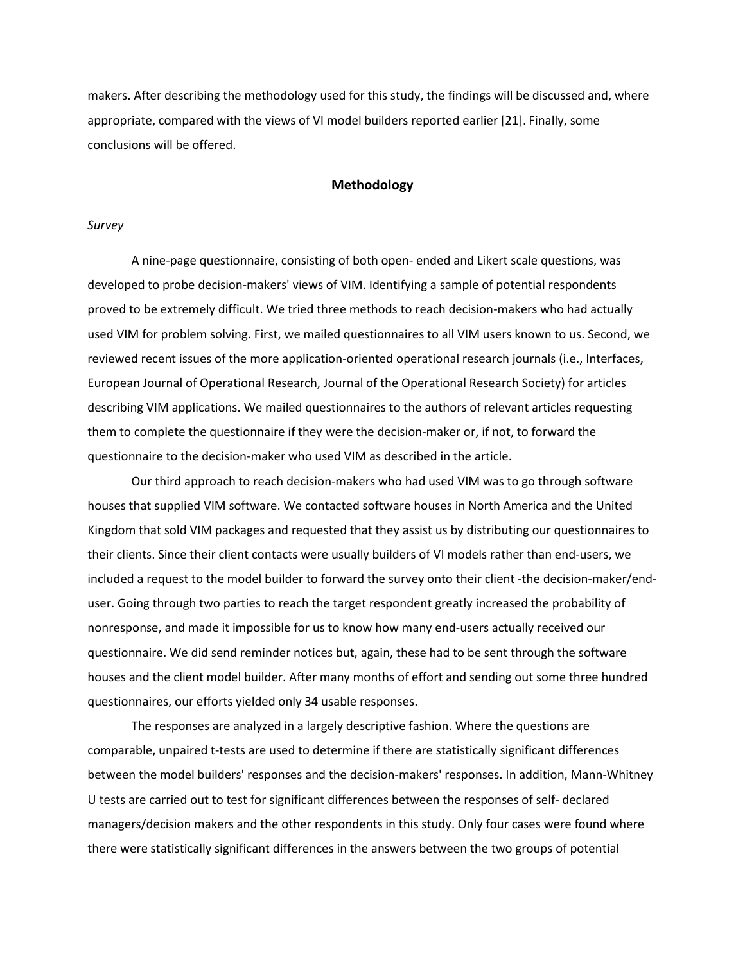makers. After describing the methodology used for this study, the findings will be discussed and, where appropriate, compared with the views of VI model builders reported earlier [21]. Finally, some conclusions will be offered.

# **Methodology**

## *Survey*

A nine-page questionnaire, consisting of both open- ended and Likert scale questions, was developed to probe decision-makers' views of VIM. Identifying a sample of potential respondents proved to be extremely difficult. We tried three methods to reach decision-makers who had actually used VIM for problem solving. First, we mailed questionnaires to all VIM users known to us. Second, we reviewed recent issues of the more application-oriented operational research journals (i.e., Interfaces, European Journal of Operational Research, Journal of the Operational Research Society) for articles describing VIM applications. We mailed questionnaires to the authors of relevant articles requesting them to complete the questionnaire if they were the decision-maker or, if not, to forward the questionnaire to the decision-maker who used VIM as described in the article.

Our third approach to reach decision-makers who had used VIM was to go through software houses that supplied VIM software. We contacted software houses in North America and the United Kingdom that sold VIM packages and requested that they assist us by distributing our questionnaires to their clients. Since their client contacts were usually builders of VI models rather than end-users, we included a request to the model builder to forward the survey onto their client -the decision-maker/enduser. Going through two parties to reach the target respondent greatly increased the probability of nonresponse, and made it impossible for us to know how many end-users actually received our questionnaire. We did send reminder notices but, again, these had to be sent through the software houses and the client model builder. After many months of effort and sending out some three hundred questionnaires, our efforts yielded only 34 usable responses.

The responses are analyzed in a largely descriptive fashion. Where the questions are comparable, unpaired t-tests are used to determine if there are statistically significant differences between the model builders' responses and the decision-makers' responses. In addition, Mann-Whitney U tests are carried out to test for significant differences between the responses of self- declared managers/decision makers and the other respondents in this study. Only four cases were found where there were statistically significant differences in the answers between the two groups of potential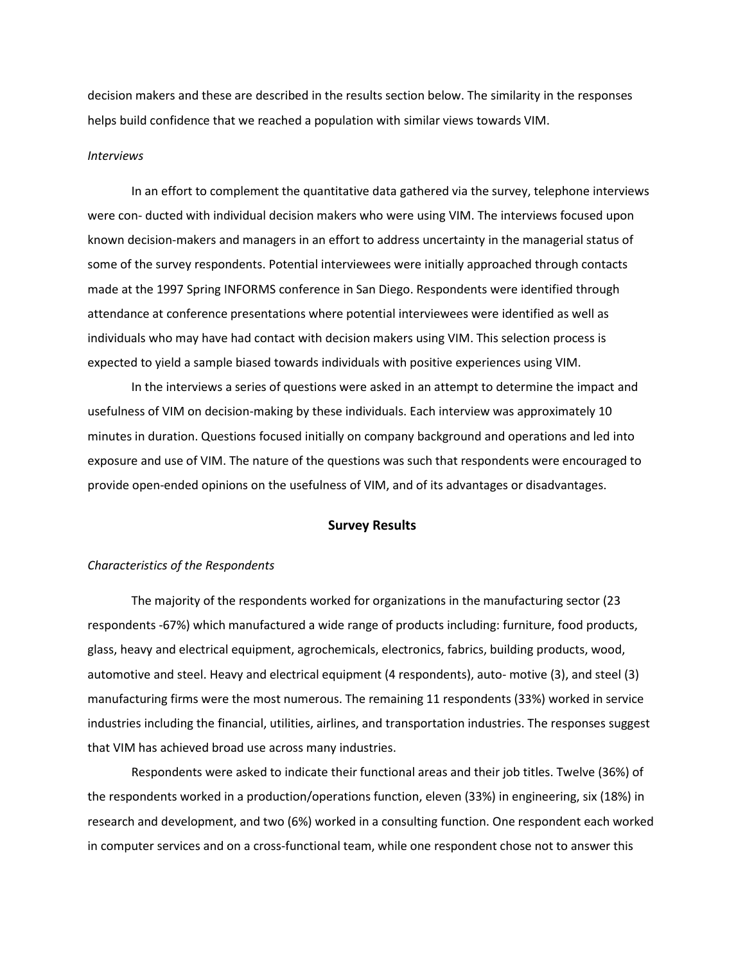decision makers and these are described in the results section below. The similarity in the responses helps build confidence that we reached a population with similar views towards VIM.

### *Interviews*

In an effort to complement the quantitative data gathered via the survey, telephone interviews were con- ducted with individual decision makers who were using VIM. The interviews focused upon known decision-makers and managers in an effort to address uncertainty in the managerial status of some of the survey respondents. Potential interviewees were initially approached through contacts made at the 1997 Spring INFORMS conference in San Diego. Respondents were identified through attendance at conference presentations where potential interviewees were identified as well as individuals who may have had contact with decision makers using VIM. This selection process is expected to yield a sample biased towards individuals with positive experiences using VIM.

In the interviews a series of questions were asked in an attempt to determine the impact and usefulness of VIM on decision-making by these individuals. Each interview was approximately 10 minutes in duration. Questions focused initially on company background and operations and led into exposure and use of VIM. The nature of the questions was such that respondents were encouraged to provide open-ended opinions on the usefulness of VIM, and of its advantages or disadvantages.

## **Survey Results**

## *Characteristics of the Respondents*

The majority of the respondents worked for organizations in the manufacturing sector (23 respondents -67%) which manufactured a wide range of products including: furniture, food products, glass, heavy and electrical equipment, agrochemicals, electronics, fabrics, building products, wood, automotive and steel. Heavy and electrical equipment (4 respondents), auto- motive (3), and steel (3) manufacturing firms were the most numerous. The remaining 11 respondents (33%) worked in service industries including the financial, utilities, airlines, and transportation industries. The responses suggest that VIM has achieved broad use across many industries.

Respondents were asked to indicate their functional areas and their job titles. Twelve (36%) of the respondents worked in a production/operations function, eleven (33%) in engineering, six (18%) in research and development, and two (6%) worked in a consulting function. One respondent each worked in computer services and on a cross-functional team, while one respondent chose not to answer this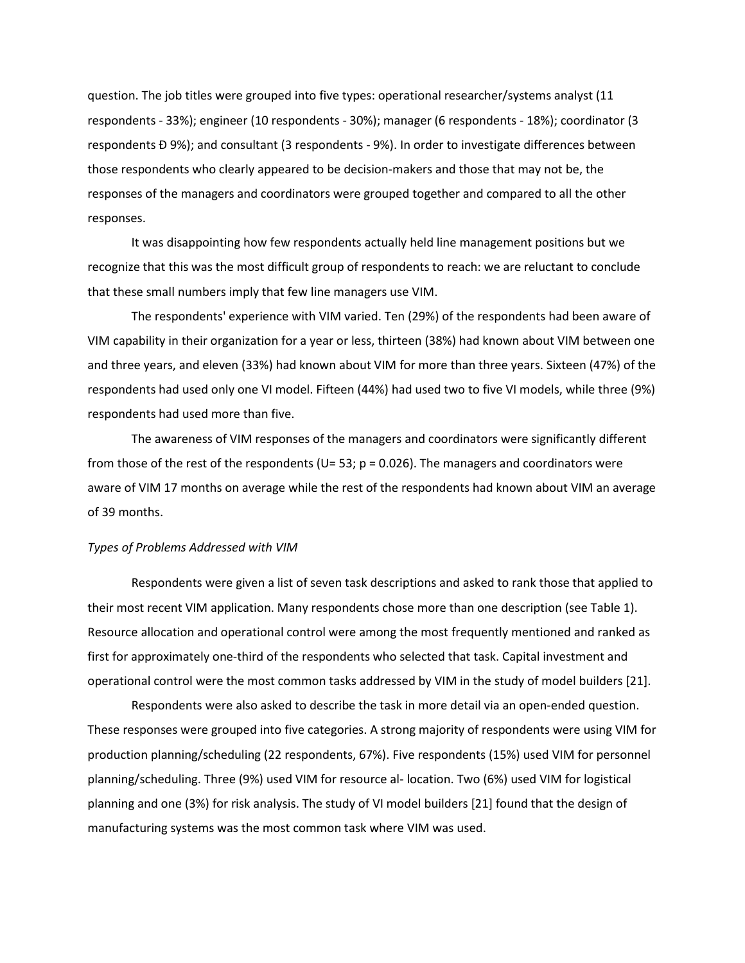question. The job titles were grouped into five types: operational researcher/systems analyst (11 respondents - 33%); engineer (10 respondents - 30%); manager (6 respondents - 18%); coordinator (3 respondents Ð 9%); and consultant (3 respondents - 9%). In order to investigate differences between those respondents who clearly appeared to be decision-makers and those that may not be, the responses of the managers and coordinators were grouped together and compared to all the other responses.

It was disappointing how few respondents actually held line management positions but we recognize that this was the most difficult group of respondents to reach: we are reluctant to conclude that these small numbers imply that few line managers use VIM.

The respondents' experience with VIM varied. Ten (29%) of the respondents had been aware of VIM capability in their organization for a year or less, thirteen (38%) had known about VIM between one and three years, and eleven (33%) had known about VIM for more than three years. Sixteen (47%) of the respondents had used only one VI model. Fifteen (44%) had used two to five VI models, while three (9%) respondents had used more than five.

The awareness of VIM responses of the managers and coordinators were significantly different from those of the rest of the respondents ( $U=$  53; p = 0.026). The managers and coordinators were aware of VIM 17 months on average while the rest of the respondents had known about VIM an average of 39 months.

## *Types of Problems Addressed with VIM*

Respondents were given a list of seven task descriptions and asked to rank those that applied to their most recent VIM application. Many respondents chose more than one description (see Table 1). Resource allocation and operational control were among the most frequently mentioned and ranked as first for approximately one-third of the respondents who selected that task. Capital investment and operational control were the most common tasks addressed by VIM in the study of model builders [21].

Respondents were also asked to describe the task in more detail via an open-ended question. These responses were grouped into five categories. A strong majority of respondents were using VIM for production planning/scheduling (22 respondents, 67%). Five respondents (15%) used VIM for personnel planning/scheduling. Three (9%) used VIM for resource al- location. Two (6%) used VIM for logistical planning and one (3%) for risk analysis. The study of VI model builders [21] found that the design of manufacturing systems was the most common task where VIM was used.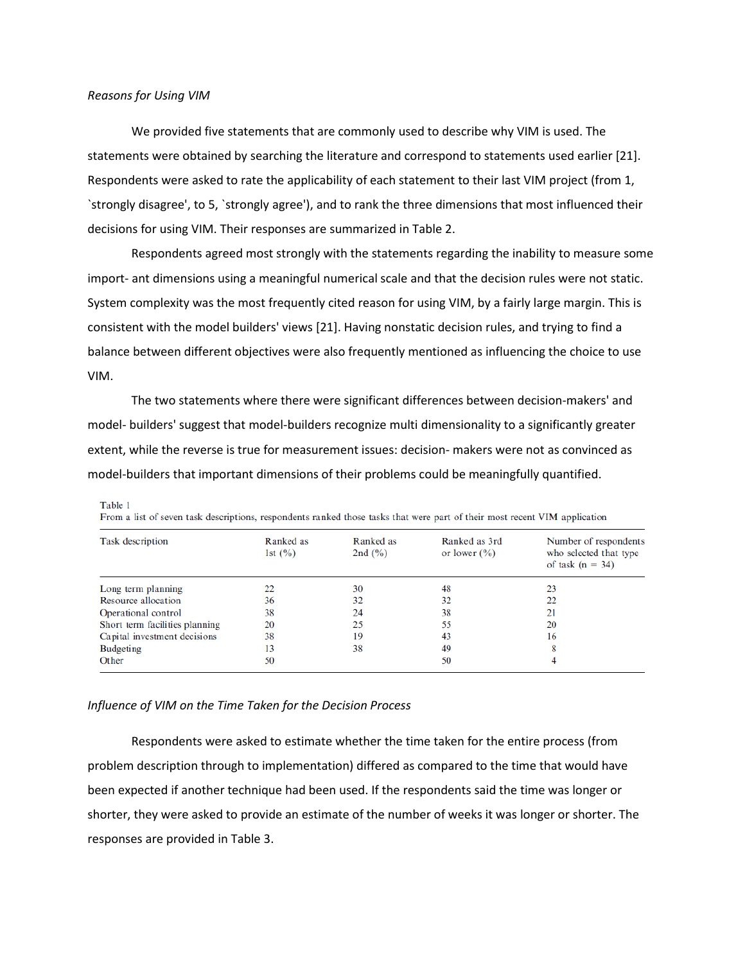Table 1

We provided five statements that are commonly used to describe why VIM is used. The statements were obtained by searching the literature and correspond to statements used earlier [21]. Respondents were asked to rate the applicability of each statement to their last VIM project (from 1, `strongly disagree', to 5, `strongly agree'), and to rank the three dimensions that most influenced their decisions for using VIM. Their responses are summarized in Table 2.

Respondents agreed most strongly with the statements regarding the inability to measure some import- ant dimensions using a meaningful numerical scale and that the decision rules were not static. System complexity was the most frequently cited reason for using VIM, by a fairly large margin. This is consistent with the model builders' views [21]. Having nonstatic decision rules, and trying to find a balance between different objectives were also frequently mentioned as influencing the choice to use VIM.

The two statements where there were significant differences between decision-makers' and model- builders' suggest that model-builders recognize multi dimensionality to a significantly greater extent, while the reverse is true for measurement issues: decision- makers were not as convinced as model-builders that important dimensions of their problems could be meaningfully quantified.

| <b>Task description</b>        | Ranked as<br>1st $(\% )$ | Ranked as<br>2nd $(\% )$ | Ranked as 3rd<br>or lower $(\% )$ | Number of respondents<br>who selected that type<br>of task $(n = 34)$ |
|--------------------------------|--------------------------|--------------------------|-----------------------------------|-----------------------------------------------------------------------|
| Long term planning             | 22                       | 30                       | 48                                | 23                                                                    |
| Resource allocation            | 36                       | 32                       | 32                                | 22                                                                    |
| Operational control            | 38                       | 24                       | 38                                | 21                                                                    |
| Short term facilities planning | 20                       | 25                       | 55                                | 20                                                                    |
| Capital investment decisions   | 38                       | 19                       | 43                                | 16                                                                    |
| <b>Budgeting</b>               | 13                       | 38                       | 49                                | 8                                                                     |
| Other                          | 50                       |                          | 50                                |                                                                       |

From a list of seven task descriptions, respondents ranked those tasks that were part of their most recent VIM application

## *Influence of VIM on the Time Taken for the Decision Process*

Respondents were asked to estimate whether the time taken for the entire process (from problem description through to implementation) differed as compared to the time that would have been expected if another technique had been used. If the respondents said the time was longer or shorter, they were asked to provide an estimate of the number of weeks it was longer or shorter. The responses are provided in Table 3.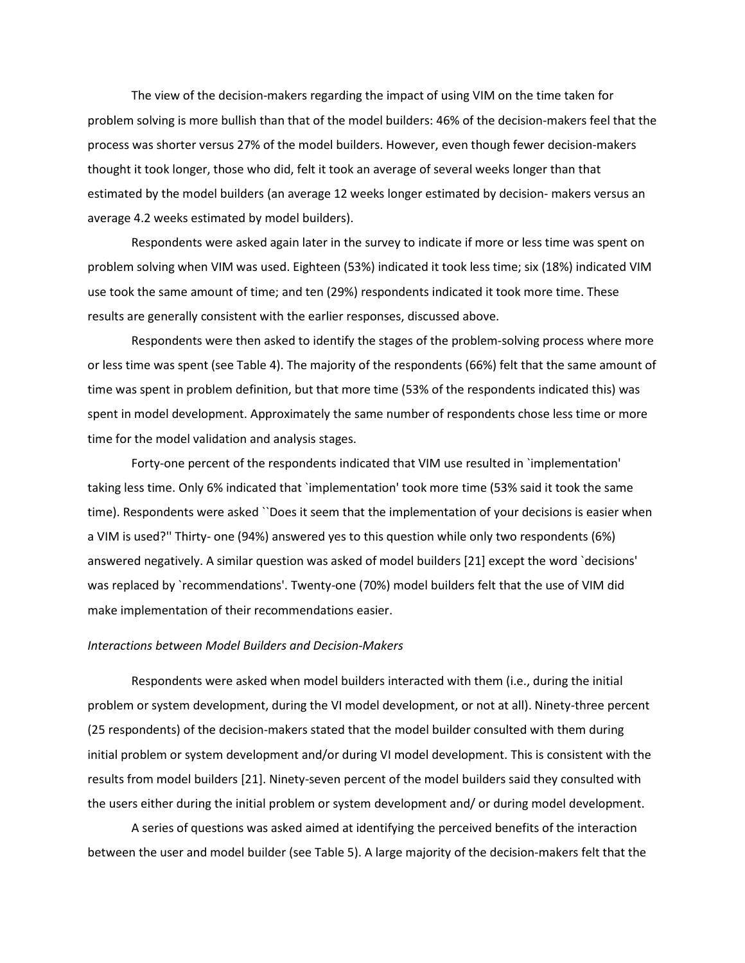The view of the decision-makers regarding the impact of using VIM on the time taken for problem solving is more bullish than that of the model builders: 46% of the decision-makers feel that the process was shorter versus 27% of the model builders. However, even though fewer decision-makers thought it took longer, those who did, felt it took an average of several weeks longer than that estimated by the model builders (an average 12 weeks longer estimated by decision- makers versus an average 4.2 weeks estimated by model builders).

Respondents were asked again later in the survey to indicate if more or less time was spent on problem solving when VIM was used. Eighteen (53%) indicated it took less time; six (18%) indicated VIM use took the same amount of time; and ten (29%) respondents indicated it took more time. These results are generally consistent with the earlier responses, discussed above.

Respondents were then asked to identify the stages of the problem-solving process where more or less time was spent (see Table 4). The majority of the respondents (66%) felt that the same amount of time was spent in problem definition, but that more time (53% of the respondents indicated this) was spent in model development. Approximately the same number of respondents chose less time or more time for the model validation and analysis stages.

Forty-one percent of the respondents indicated that VIM use resulted in `implementation' taking less time. Only 6% indicated that `implementation' took more time (53% said it took the same time). Respondents were asked ``Does it seem that the implementation of your decisions is easier when a VIM is used?'' Thirty- one (94%) answered yes to this question while only two respondents (6%) answered negatively. A similar question was asked of model builders [21] except the word `decisions' was replaced by `recommendations'. Twenty-one (70%) model builders felt that the use of VIM did make implementation of their recommendations easier.

## *Interactions between Model Builders and Decision-Makers*

Respondents were asked when model builders interacted with them (i.e., during the initial problem or system development, during the VI model development, or not at all). Ninety-three percent (25 respondents) of the decision-makers stated that the model builder consulted with them during initial problem or system development and/or during VI model development. This is consistent with the results from model builders [21]. Ninety-seven percent of the model builders said they consulted with the users either during the initial problem or system development and/ or during model development.

A series of questions was asked aimed at identifying the perceived benefits of the interaction between the user and model builder (see Table 5). A large majority of the decision-makers felt that the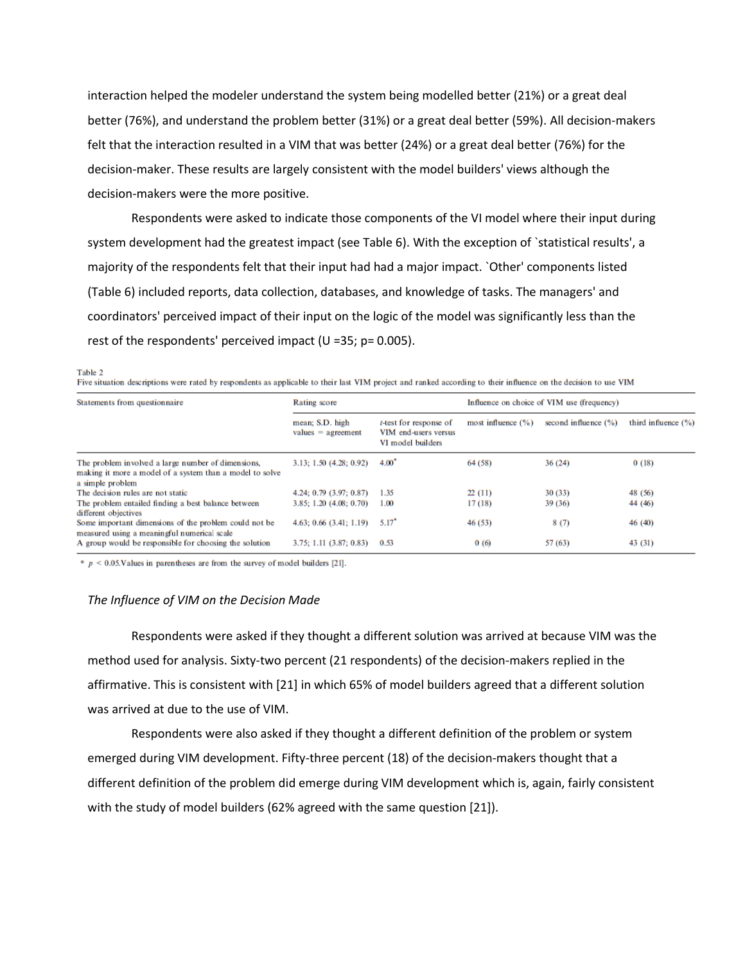interaction helped the modeler understand the system being modelled better (21%) or a great deal better (76%), and understand the problem better (31%) or a great deal better (59%). All decision-makers felt that the interaction resulted in a VIM that was better (24%) or a great deal better (76%) for the decision-maker. These results are largely consistent with the model builders' views although the decision-makers were the more positive.

Respondents were asked to indicate those components of the VI model where their input during system development had the greatest impact (see Table 6). With the exception of `statistical results', a majority of the respondents felt that their input had had a major impact. `Other' components listed (Table 6) included reports, data collection, databases, and knowledge of tasks. The managers' and coordinators' perceived impact of their input on the logic of the model was significantly less than the rest of the respondents' perceived impact (U =35; p= 0.005).

Table 2

Five situation descriptions were rated by respondents as applicable to their last VIM project and ranked according to their influence on the decision to use VIM

| Statements from questionnaire                                                                                                      | Rating score                            |                                                                             | Influence on choice of VIM use (frequency) |                          |                         |
|------------------------------------------------------------------------------------------------------------------------------------|-----------------------------------------|-----------------------------------------------------------------------------|--------------------------------------------|--------------------------|-------------------------|
|                                                                                                                                    | mean: S.D. high<br>$values = agreement$ | <i>t</i> -test for response of<br>VIM end-users versus<br>VI model builders | most influence $(\% )$                     | second influence $(\% )$ | third influence $(\% )$ |
| The problem involved a large number of dimensions,<br>making it more a model of a system than a model to solve<br>a simple problem | 3.13; 1.50 (4.28; 0.92)                 | $4.00^{\circ}$                                                              | 64 (58)                                    | 36(24)                   | 0(18)                   |
| The decision rules are not static                                                                                                  | 4.24; 0.79 (3.97; 0.87)                 | 1.35                                                                        | 22(11)                                     | 30(33)                   | 48 (56)                 |
| The problem entailed finding a best balance between<br>different objectives                                                        | 3.85: 1.20 (4.08: 0.70)                 | 1.00                                                                        | 17(18)                                     | 39(36)                   | 44 (46)                 |
| Some important dimensions of the problem could not be<br>measured using a meaningful numerical scale                               | $4.63: 0.66$ $(3.41: 1.19)$             | $5.17^*$                                                                    | 46 (53)                                    | 8(7)                     | 46 (40)                 |
| A group would be responsible for choosing the solution                                                                             | $3.75$ ; 1.11 $(3.87; 0.83)$            | 0.53                                                                        | 0(6)                                       | 57(63)                   | 43 (31)                 |

 $p < 0.05$ . Values in parentheses are from the survey of model builders [21].

## *The Influence of VIM on the Decision Made*

Respondents were asked if they thought a different solution was arrived at because VIM was the method used for analysis. Sixty-two percent (21 respondents) of the decision-makers replied in the affirmative. This is consistent with [21] in which 65% of model builders agreed that a different solution was arrived at due to the use of VIM.

Respondents were also asked if they thought a different definition of the problem or system emerged during VIM development. Fifty-three percent (18) of the decision-makers thought that a different definition of the problem did emerge during VIM development which is, again, fairly consistent with the study of model builders (62% agreed with the same question [21]).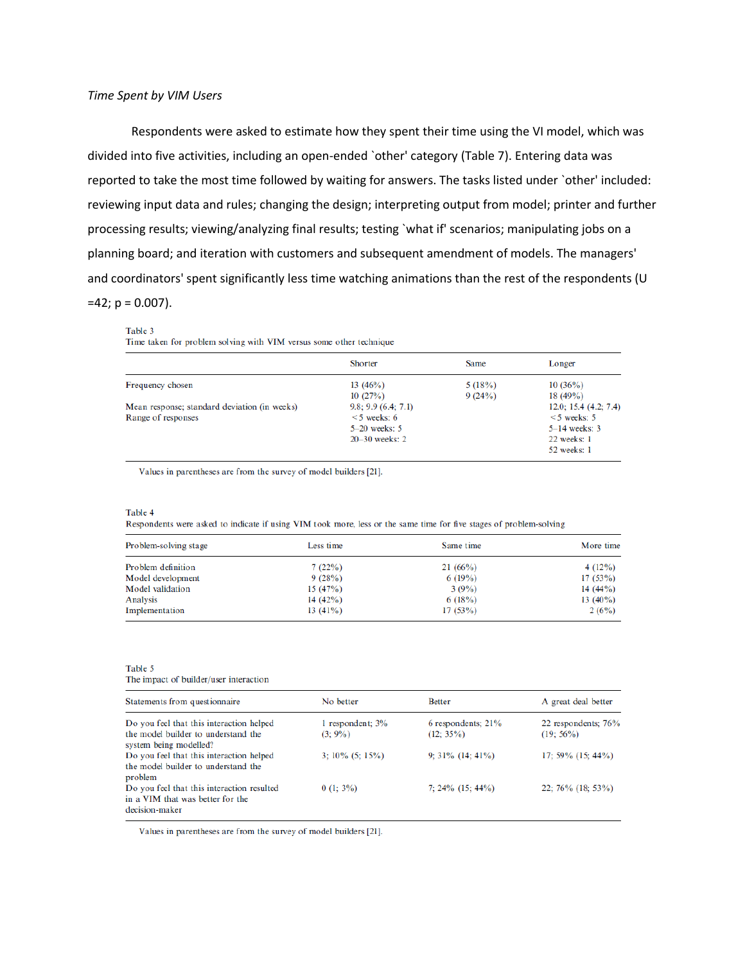Respondents were asked to estimate how they spent their time using the VI model, which was divided into five activities, including an open-ended `other' category (Table 7). Entering data was reported to take the most time followed by waiting for answers. The tasks listed under `other' included: reviewing input data and rules; changing the design; interpreting output from model; printer and further processing results; viewing/analyzing final results; testing `what if' scenarios; manipulating jobs on a planning board; and iteration with customers and subsequent amendment of models. The managers' and coordinators' spent significantly less time watching animations than the rest of the respondents (U  $=42$ ;  $p = 0.007$ ).

#### Table 3

Time taken for problem solving with VIM versus some other technique

|                                              | Shorter            | Same   | Longer                |
|----------------------------------------------|--------------------|--------|-----------------------|
| Frequency chosen                             | 13 $(46%)$         | 5(18%) | 10(36%)               |
|                                              | 10(27%)            | 9(24%) | $18(49\%)$            |
| Mean response; standard deviation (in weeks) | 9.8; 9.9(6.4; 7.1) |        | 12.0; 15.4 (4.2; 7.4) |
| Range of responses                           | $<$ 5 weeks: 6     |        | $\leq$ 5 weeks: 5     |
|                                              | $5-20$ weeks: 5    |        | $5-14$ weeks: 3       |
|                                              | $20 - 30$ weeks: 2 |        | $22$ weeks: 1         |
|                                              |                    |        | 52 weeks: 1           |

Values in parentheses are from the survey of model builders [21].

#### Table 4

Respondents were asked to indicate if using VIM took more, less or the same time for five stages of problem-solving

| Problem-solving stage | Less time  | Same time | More time   |
|-----------------------|------------|-----------|-------------|
| Problem definition    | 7(22%)     | 21(66%)   | 4 $(12\%)$  |
| Model development     | 9(28%)     | 6(19%)    | 17(53%)     |
| Model validation      | 15(47%)    | 3(9%)     | $14(44\%)$  |
| Analysis              | 14(42%)    | 6(18%)    | 13 $(40\%)$ |
| Implementation        | $13(41\%)$ | 17(53%)   | 2(6%)       |

#### Table 5

The impact of builder/user interaction

| Statements from questionnaire                                                                               | No better                        | <b>Better</b>                      | A great deal better                |
|-------------------------------------------------------------------------------------------------------------|----------------------------------|------------------------------------|------------------------------------|
| Do you feel that this interaction helped<br>the model builder to understand the<br>system being modelled?   | 1 respondent; $3\%$<br>$(3:9\%)$ | 6 respondents; 21%<br>$(12; 35\%)$ | 22 respondents; 76%<br>$(19:56\%)$ |
| Do you feel that this interaction helped<br>the model builder to understand the                             | $3:10\%$ (5: 15%)                | $9:31\%$ (14: 41%)                 | 17; 59% $(15; 44\%)$               |
| problem<br>Do you feel that this interaction resulted<br>in a VIM that was better for the<br>decision-maker | $0(1; 3\%)$                      | 7: $24\%$ (15: $44\%$ )            | $22; 76\%$ (18; 53%)               |

Values in parentheses are from the survey of model builders [21].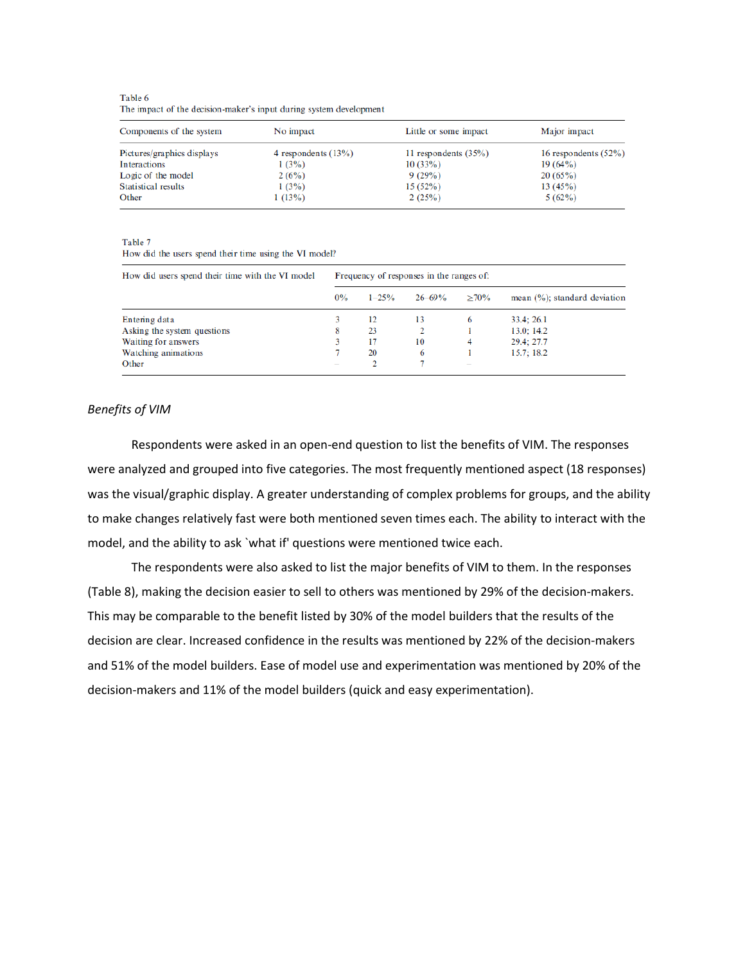Table 6 The impact of the decision-maker's input during system development

| Components of the system   | No impact              | Little or some impact  | Major impact            |
|----------------------------|------------------------|------------------------|-------------------------|
| Pictures/graphics displays | 4 respondents $(13\%)$ | 11 respondents $(35%)$ | 16 respondents $(52\%)$ |
| Interactions               | 1(3%)                  | 10(33%)                | $19(64\%)$              |
| Logic of the model         | 2(6%)                  | 9(29%)                 | 20(65%)                 |
| Statistical results        | 1(3%)                  | 15(52%)                | 13(45%)                 |
| Other                      | 1(13%)                 | 2(25%)                 | 5(62%)                  |

Table 7

How did the users spend their time using the VI model?

| How did users spend their time with the VI model | Frequency of responses in the ranges of: |            |            |                          |                                   |  |
|--------------------------------------------------|------------------------------------------|------------|------------|--------------------------|-----------------------------------|--|
|                                                  | $0\%$                                    | $1 - 25\%$ | $26 - 69%$ | $>70\%$                  | mean $(\% )$ ; standard deviation |  |
| Entering data                                    |                                          | 12         | 13         | 6                        | 33.4:26.1                         |  |
| Asking the system questions                      | 8                                        | 23         |            |                          | 13.0; 14.2                        |  |
| Waiting for answers                              |                                          | 17         | 10         | 4                        | 29.4: 27.7                        |  |
| Watching animations                              |                                          | 20         | 6          |                          | 15.7:18.2                         |  |
| Other                                            |                                          |            |            | $\overline{\phantom{a}}$ |                                   |  |

## *Benefits of VIM*

Respondents were asked in an open-end question to list the benefits of VIM. The responses were analyzed and grouped into five categories. The most frequently mentioned aspect (18 responses) was the visual/graphic display. A greater understanding of complex problems for groups, and the ability to make changes relatively fast were both mentioned seven times each. The ability to interact with the model, and the ability to ask `what if' questions were mentioned twice each.

The respondents were also asked to list the major benefits of VIM to them. In the responses (Table 8), making the decision easier to sell to others was mentioned by 29% of the decision-makers. This may be comparable to the benefit listed by 30% of the model builders that the results of the decision are clear. Increased confidence in the results was mentioned by 22% of the decision-makers and 51% of the model builders. Ease of model use and experimentation was mentioned by 20% of the decision-makers and 11% of the model builders (quick and easy experimentation).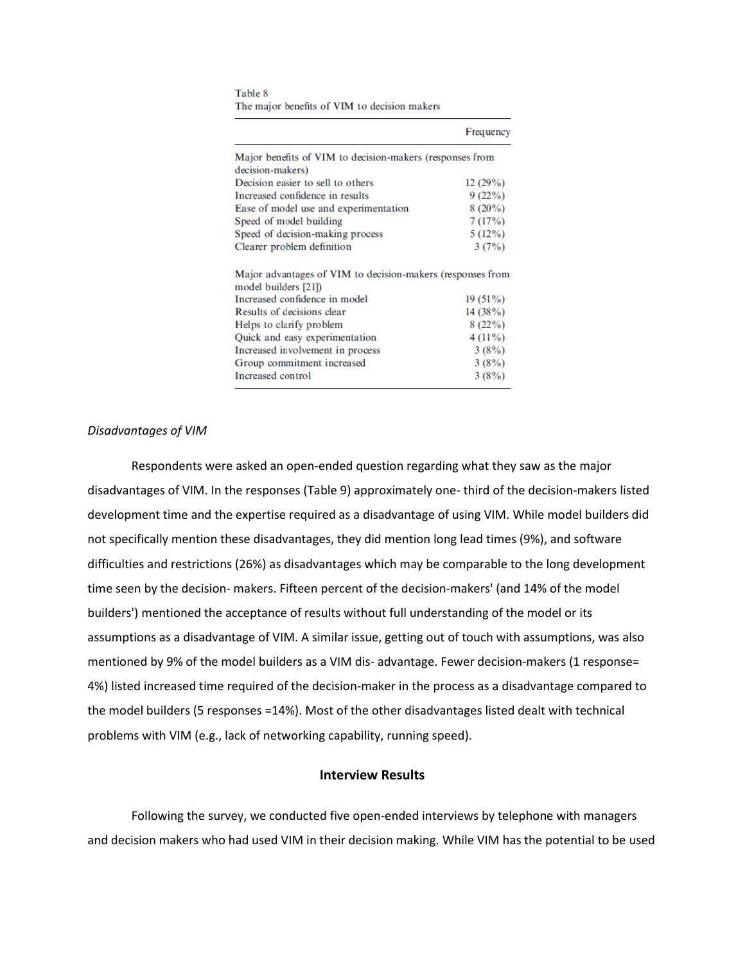Table 8 The major benefits of VIM to decision makers

|                                                                                    | Frequency  |
|------------------------------------------------------------------------------------|------------|
| Major benefits of VIM to decision-makers (responses from                           |            |
| decision-makers)                                                                   |            |
| Decision easier to sell to others                                                  | 12(29%)    |
| Increased confidence in results                                                    | 9(22%)     |
| Ease of model use and experimentation                                              | $8(20\%)$  |
| Speed of model building                                                            | 7(17%)     |
| Speed of decision-making process                                                   | 5(12%)     |
| Clearer problem definition                                                         | 3(7%)      |
| Major advantages of VIM to decision-makers (responses from<br>model builders [21]) |            |
| Increased confidence in model                                                      | $19(51\%)$ |
| Results of decisions clear                                                         | 14(38%)    |
| Helps to clarify problem                                                           | 8(22%)     |
| Quick and easy experimentation                                                     | $4(11\%)$  |
| Increased involvement in process                                                   | 3(8%)      |
| Group commitment increased                                                         | 3(8%)      |
| Increased control                                                                  | 3(8%)      |

# *Disadvantages of VIM*

Respondents were asked an open-ended question regarding what they saw as the major disadvantages of VIM. In the responses (Table 9) approximately one- third of the decision-makers listed development time and the expertise required as a disadvantage of using VIM. While model builders did not specifically mention these disadvantages, they did mention long lead times (9%), and software difficulties and restrictions (26%) as disadvantages which may be comparable to the long development time seen by the decision- makers. Fifteen percent of the decision-makers' (and 14% of the model builders') mentioned the acceptance of results without full understanding of the model or its assumptions as a disadvantage of VIM. A similar issue, getting out of touch with assumptions, was also mentioned by 9% of the model builders as a VIM dis- advantage. Fewer decision-makers (1 response= 4%) listed increased time required of the decision-maker in the process as a disadvantage compared to the model builders (5 responses =14%). Most of the other disadvantages listed dealt with technical problems with VIM (e.g., lack of networking capability, running speed).

# **Interview Results**

Following the survey, we conducted five open-ended interviews by telephone with managers and decision makers who had used VIM in their decision making. While VIM has the potential to be used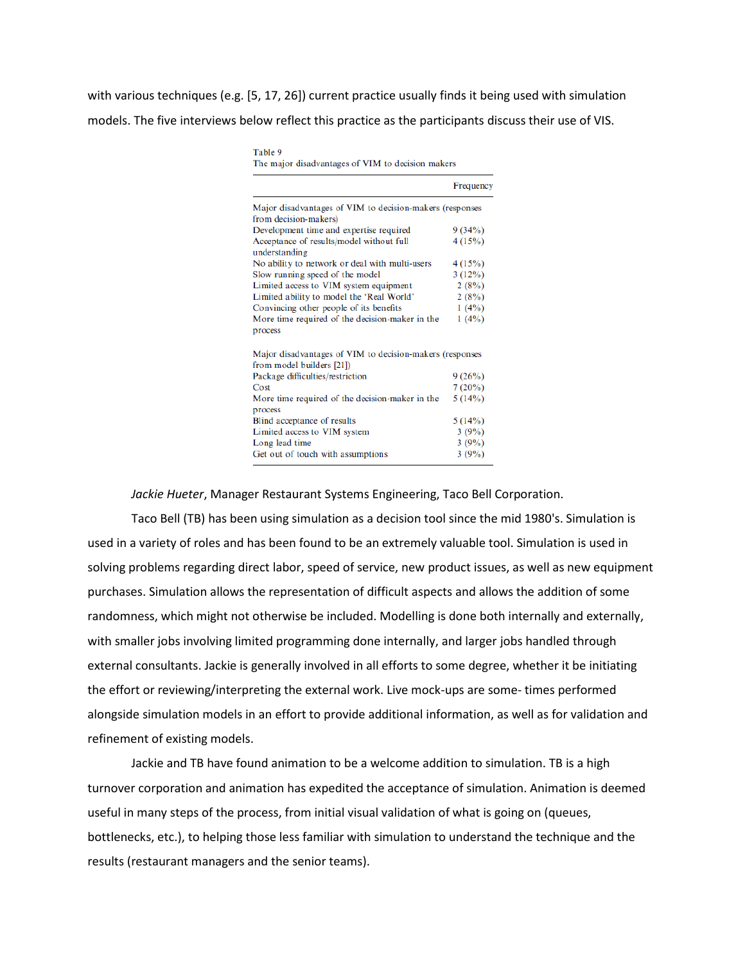with various techniques (e.g. [5, 17, 26]) current practice usually finds it being used with simulation models. The five interviews below reflect this practice as the participants discuss their use of VIS.

Table 9

|                                                                                       | Frequency |
|---------------------------------------------------------------------------------------|-----------|
| Major disadvantages of VIM to decision-makers (responses                              |           |
| from decision-makers)                                                                 |           |
| Development time and expertise required                                               | 9(34%)    |
| Acceptance of results/model without full                                              | 4(15%)    |
| understanding                                                                         |           |
| No ability to network or deal with multi-users                                        | 4(15%)    |
| Slow running speed of the model                                                       | 3(12%)    |
| Limited access to VIM system equipment                                                | 2(8%)     |
| Limited ability to model the 'Real World'                                             | 2(8%)     |
| Convincing other people of its benefits                                               | 1(4%)     |
| More time required of the decision-maker in the                                       | 1(4%)     |
| process                                                                               |           |
| Major disadvantages of VIM to decision-makers (responses<br>from model builders [21]) |           |
| Package difficulties/restriction                                                      | 9(26%)    |
| Cost                                                                                  | 7(20%)    |
| More time required of the decision-maker in the                                       | 5(14%)    |
| process                                                                               |           |
| Blind acceptance of results                                                           | 5(14%)    |
| Limited access to VIM system                                                          | 3(9%)     |
| Long lead time                                                                        | 3(9%)     |
| Get out of touch with assumptions                                                     | 3(9%)     |

*Jackie Hueter*, Manager Restaurant Systems Engineering, Taco Bell Corporation.

Taco Bell (TB) has been using simulation as a decision tool since the mid 1980's. Simulation is used in a variety of roles and has been found to be an extremely valuable tool. Simulation is used in solving problems regarding direct labor, speed of service, new product issues, as well as new equipment purchases. Simulation allows the representation of difficult aspects and allows the addition of some randomness, which might not otherwise be included. Modelling is done both internally and externally, with smaller jobs involving limited programming done internally, and larger jobs handled through external consultants. Jackie is generally involved in all efforts to some degree, whether it be initiating the effort or reviewing/interpreting the external work. Live mock-ups are some- times performed alongside simulation models in an effort to provide additional information, as well as for validation and refinement of existing models.

Jackie and TB have found animation to be a welcome addition to simulation. TB is a high turnover corporation and animation has expedited the acceptance of simulation. Animation is deemed useful in many steps of the process, from initial visual validation of what is going on (queues, bottlenecks, etc.), to helping those less familiar with simulation to understand the technique and the results (restaurant managers and the senior teams).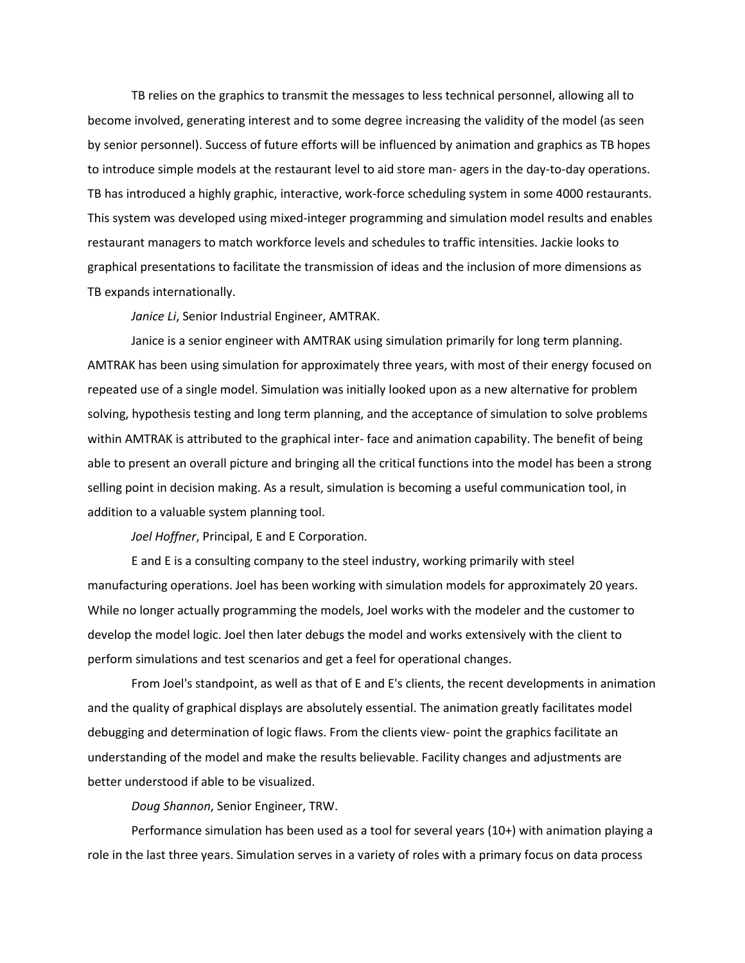TB relies on the graphics to transmit the messages to less technical personnel, allowing all to become involved, generating interest and to some degree increasing the validity of the model (as seen by senior personnel). Success of future efforts will be influenced by animation and graphics as TB hopes to introduce simple models at the restaurant level to aid store man- agers in the day-to-day operations. TB has introduced a highly graphic, interactive, work-force scheduling system in some 4000 restaurants. This system was developed using mixed-integer programming and simulation model results and enables restaurant managers to match workforce levels and schedules to traffic intensities. Jackie looks to graphical presentations to facilitate the transmission of ideas and the inclusion of more dimensions as TB expands internationally.

*Janice Li*, Senior Industrial Engineer, AMTRAK.

Janice is a senior engineer with AMTRAK using simulation primarily for long term planning. AMTRAK has been using simulation for approximately three years, with most of their energy focused on repeated use of a single model. Simulation was initially looked upon as a new alternative for problem solving, hypothesis testing and long term planning, and the acceptance of simulation to solve problems within AMTRAK is attributed to the graphical inter- face and animation capability. The benefit of being able to present an overall picture and bringing all the critical functions into the model has been a strong selling point in decision making. As a result, simulation is becoming a useful communication tool, in addition to a valuable system planning tool.

*Joel Hoffner*, Principal, E and E Corporation.

E and E is a consulting company to the steel industry, working primarily with steel manufacturing operations. Joel has been working with simulation models for approximately 20 years. While no longer actually programming the models, Joel works with the modeler and the customer to develop the model logic. Joel then later debugs the model and works extensively with the client to perform simulations and test scenarios and get a feel for operational changes.

From Joel's standpoint, as well as that of E and E's clients, the recent developments in animation and the quality of graphical displays are absolutely essential. The animation greatly facilitates model debugging and determination of logic flaws. From the clients view- point the graphics facilitate an understanding of the model and make the results believable. Facility changes and adjustments are better understood if able to be visualized.

*Doug Shannon*, Senior Engineer, TRW.

Performance simulation has been used as a tool for several years (10+) with animation playing a role in the last three years. Simulation serves in a variety of roles with a primary focus on data process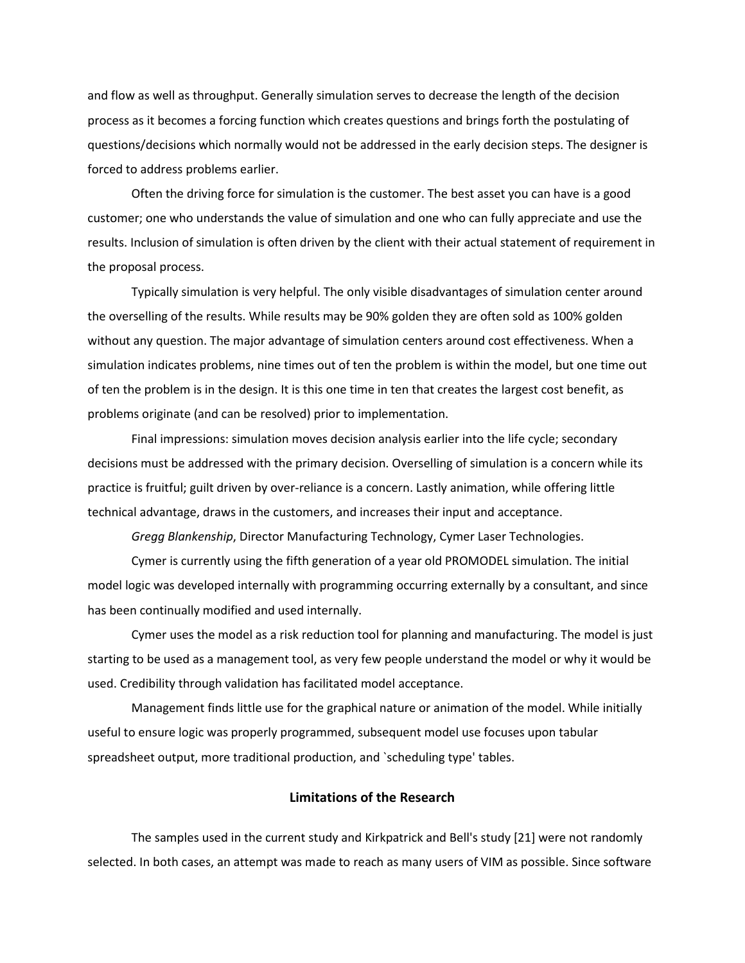and flow as well as throughput. Generally simulation serves to decrease the length of the decision process as it becomes a forcing function which creates questions and brings forth the postulating of questions/decisions which normally would not be addressed in the early decision steps. The designer is forced to address problems earlier.

Often the driving force for simulation is the customer. The best asset you can have is a good customer; one who understands the value of simulation and one who can fully appreciate and use the results. Inclusion of simulation is often driven by the client with their actual statement of requirement in the proposal process.

Typically simulation is very helpful. The only visible disadvantages of simulation center around the overselling of the results. While results may be 90% golden they are often sold as 100% golden without any question. The major advantage of simulation centers around cost effectiveness. When a simulation indicates problems, nine times out of ten the problem is within the model, but one time out of ten the problem is in the design. It is this one time in ten that creates the largest cost benefit, as problems originate (and can be resolved) prior to implementation.

Final impressions: simulation moves decision analysis earlier into the life cycle; secondary decisions must be addressed with the primary decision. Overselling of simulation is a concern while its practice is fruitful; guilt driven by over-reliance is a concern. Lastly animation, while offering little technical advantage, draws in the customers, and increases their input and acceptance.

*Gregg Blankenship*, Director Manufacturing Technology, Cymer Laser Technologies.

Cymer is currently using the fifth generation of a year old PROMODEL simulation. The initial model logic was developed internally with programming occurring externally by a consultant, and since has been continually modified and used internally.

Cymer uses the model as a risk reduction tool for planning and manufacturing. The model is just starting to be used as a management tool, as very few people understand the model or why it would be used. Credibility through validation has facilitated model acceptance.

Management finds little use for the graphical nature or animation of the model. While initially useful to ensure logic was properly programmed, subsequent model use focuses upon tabular spreadsheet output, more traditional production, and `scheduling type' tables.

# **Limitations of the Research**

The samples used in the current study and Kirkpatrick and Bell's study [21] were not randomly selected. In both cases, an attempt was made to reach as many users of VIM as possible. Since software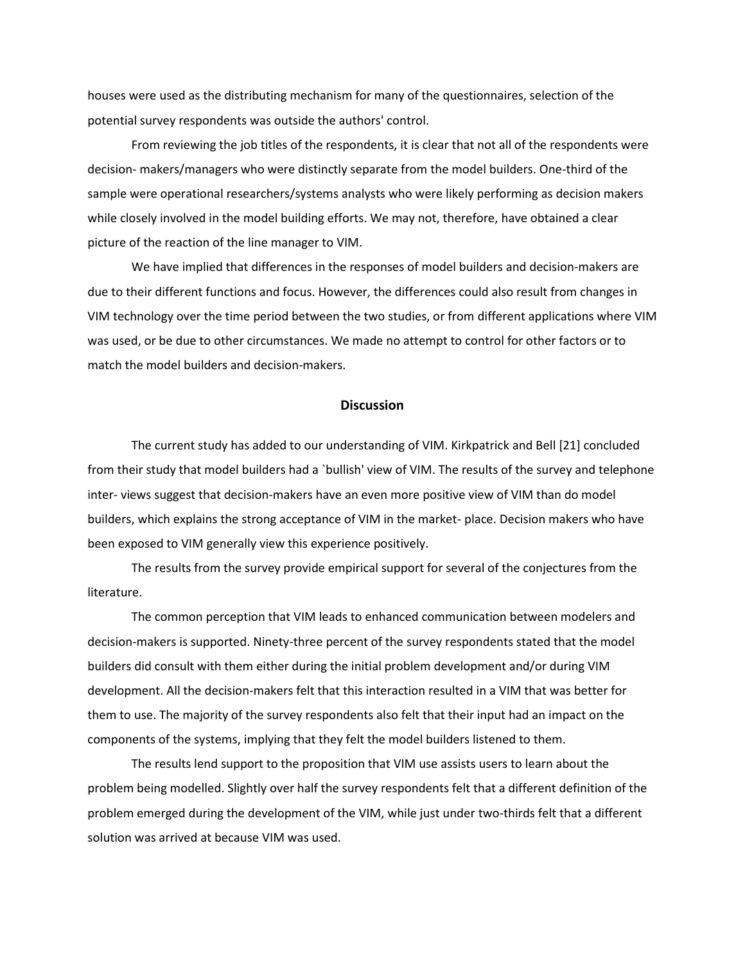houses were used as the distributing mechanism for many of the questionnaires, selection of the potential survey respondents was outside the authors' control.

From reviewing the job titles of the respondents, it is clear that not all of the respondents were decision- makers/managers who were distinctly separate from the model builders. One-third of the sample were operational researchers/systems analysts who were likely performing as decision makers while closely involved in the model building efforts. We may not, therefore, have obtained a clear picture of the reaction of the line manager to VIM.

We have implied that differences in the responses of model builders and decision-makers are due to their different functions and focus. However, the differences could also result from changes in VIM technology over the time period between the two studies, or from different applications where VIM was used, or be due to other circumstances. We made no attempt to control for other factors or to match the model builders and decision-makers.

## **Discussion**

The current study has added to our understanding of VIM. Kirkpatrick and Bell [21] concluded from their study that model builders had a `bullish' view of VIM. The results of the survey and telephone inter- views suggest that decision-makers have an even more positive view of VIM than do model builders, which explains the strong acceptance of VIM in the market- place. Decision makers who have been exposed to VIM generally view this experience positively.

The results from the survey provide empirical support for several of the conjectures from the literature.

The common perception that VIM leads to enhanced communication between modelers and decision-makers is supported. Ninety-three percent of the survey respondents stated that the model builders did consult with them either during the initial problem development and/or during VIM development. All the decision-makers felt that this interaction resulted in a VIM that was better for them to use. The majority of the survey respondents also felt that their input had an impact on the components of the systems, implying that they felt the model builders listened to them.

The results lend support to the proposition that VIM use assists users to learn about the problem being modelled. Slightly over half the survey respondents felt that a different definition of the problem emerged during the development of the VIM, while just under two-thirds felt that a different solution was arrived at because VIM was used.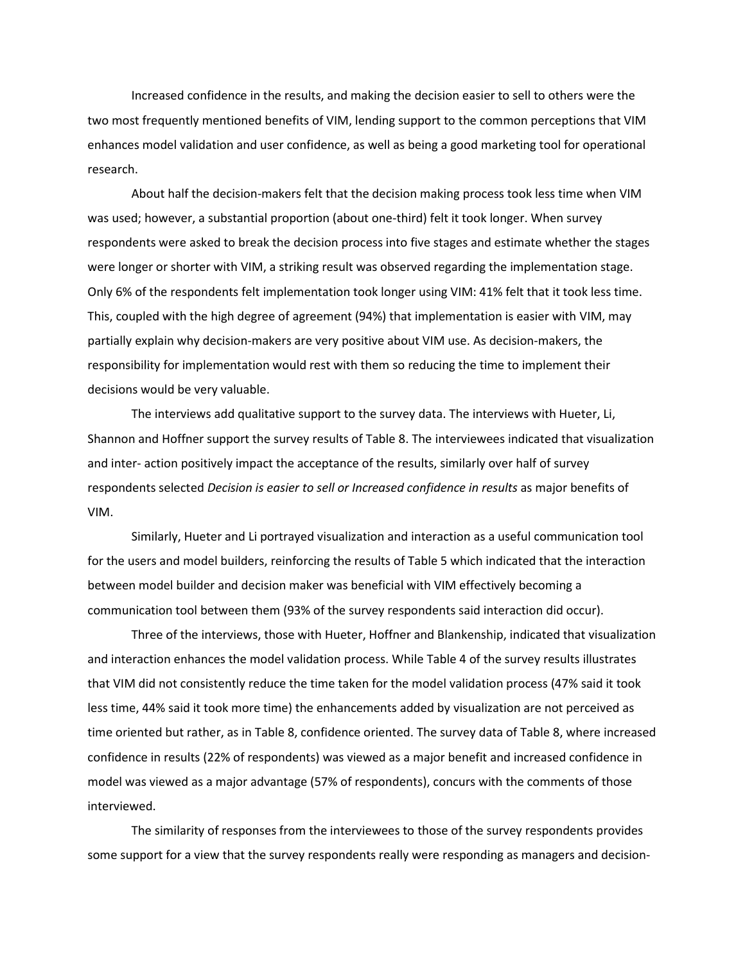Increased confidence in the results, and making the decision easier to sell to others were the two most frequently mentioned benefits of VIM, lending support to the common perceptions that VIM enhances model validation and user confidence, as well as being a good marketing tool for operational research.

About half the decision-makers felt that the decision making process took less time when VIM was used; however, a substantial proportion (about one-third) felt it took longer. When survey respondents were asked to break the decision process into five stages and estimate whether the stages were longer or shorter with VIM, a striking result was observed regarding the implementation stage. Only 6% of the respondents felt implementation took longer using VIM: 41% felt that it took less time. This, coupled with the high degree of agreement (94%) that implementation is easier with VIM, may partially explain why decision-makers are very positive about VIM use. As decision-makers, the responsibility for implementation would rest with them so reducing the time to implement their decisions would be very valuable.

The interviews add qualitative support to the survey data. The interviews with Hueter, Li, Shannon and Hoffner support the survey results of Table 8. The interviewees indicated that visualization and inter- action positively impact the acceptance of the results, similarly over half of survey respondents selected *Decision is easier to sell or Increased confidence in results* as major benefits of VIM.

Similarly, Hueter and Li portrayed visualization and interaction as a useful communication tool for the users and model builders, reinforcing the results of Table 5 which indicated that the interaction between model builder and decision maker was beneficial with VIM effectively becoming a communication tool between them (93% of the survey respondents said interaction did occur).

Three of the interviews, those with Hueter, Hoffner and Blankenship, indicated that visualization and interaction enhances the model validation process. While Table 4 of the survey results illustrates that VIM did not consistently reduce the time taken for the model validation process (47% said it took less time, 44% said it took more time) the enhancements added by visualization are not perceived as time oriented but rather, as in Table 8, confidence oriented. The survey data of Table 8, where increased confidence in results (22% of respondents) was viewed as a major benefit and increased confidence in model was viewed as a major advantage (57% of respondents), concurs with the comments of those interviewed.

The similarity of responses from the interviewees to those of the survey respondents provides some support for a view that the survey respondents really were responding as managers and decision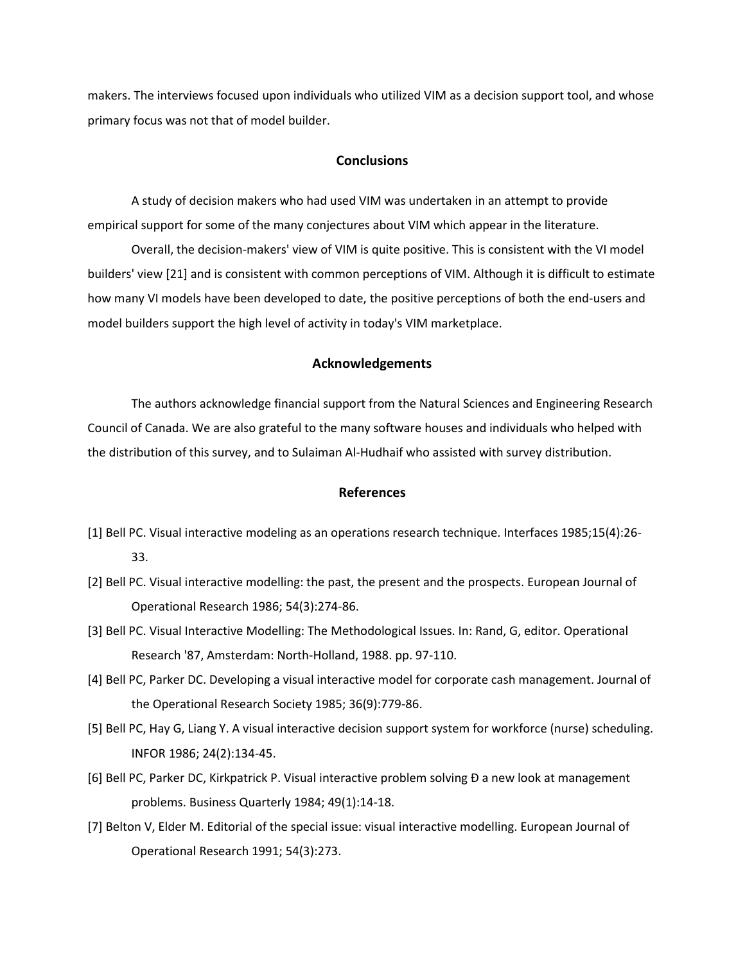makers. The interviews focused upon individuals who utilized VIM as a decision support tool, and whose primary focus was not that of model builder.

# **Conclusions**

A study of decision makers who had used VIM was undertaken in an attempt to provide empirical support for some of the many conjectures about VIM which appear in the literature.

Overall, the decision-makers' view of VIM is quite positive. This is consistent with the VI model builders' view [21] and is consistent with common perceptions of VIM. Although it is difficult to estimate how many VI models have been developed to date, the positive perceptions of both the end-users and model builders support the high level of activity in today's VIM marketplace.

## **Acknowledgements**

The authors acknowledge financial support from the Natural Sciences and Engineering Research Council of Canada. We are also grateful to the many software houses and individuals who helped with the distribution of this survey, and to Sulaiman Al-Hudhaif who assisted with survey distribution.

## **References**

- [1] Bell PC. Visual interactive modeling as an operations research technique. Interfaces 1985;15(4):26- 33.
- [2] Bell PC. Visual interactive modelling: the past, the present and the prospects. European Journal of Operational Research 1986; 54(3):274-86.
- [3] Bell PC. Visual Interactive Modelling: The Methodological Issues. In: Rand, G, editor. Operational Research '87, Amsterdam: North-Holland, 1988. pp. 97-110.
- [4] Bell PC, Parker DC. Developing a visual interactive model for corporate cash management. Journal of the Operational Research Society 1985; 36(9):779-86.
- [5] Bell PC, Hay G, Liang Y. A visual interactive decision support system for workforce (nurse) scheduling. INFOR 1986; 24(2):134-45.
- [6] Bell PC, Parker DC, Kirkpatrick P. Visual interactive problem solving Ð a new look at management problems. Business Quarterly 1984; 49(1):14-18.
- [7] Belton V, Elder M. Editorial of the special issue: visual interactive modelling. European Journal of Operational Research 1991; 54(3):273.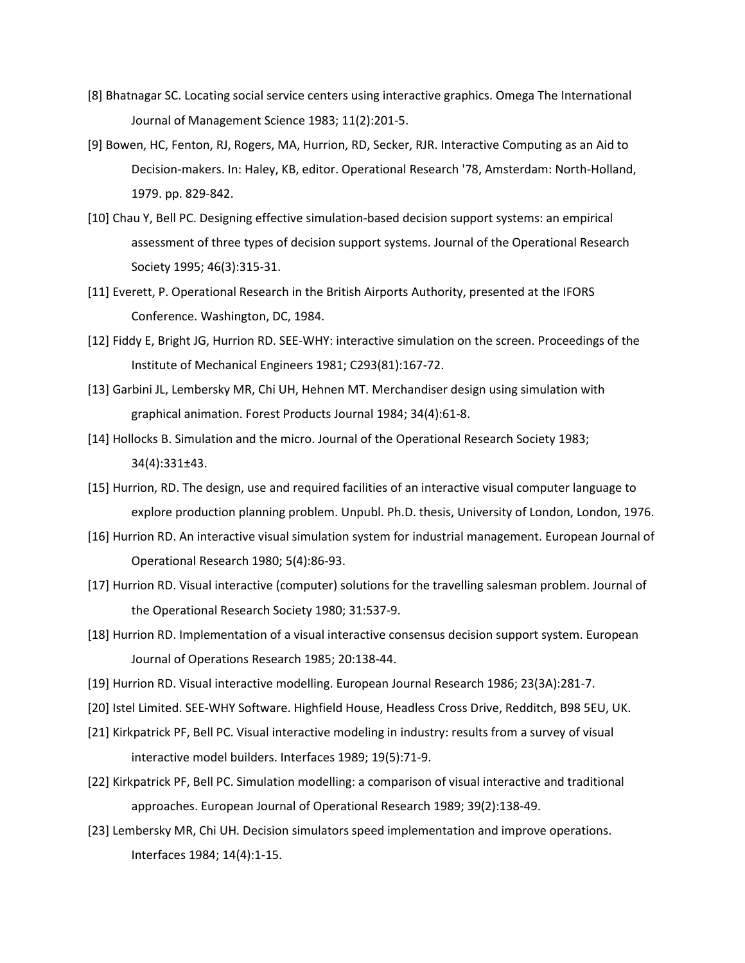- [8] Bhatnagar SC. Locating social service centers using interactive graphics. Omega The International Journal of Management Science 1983; 11(2):201-5.
- [9] Bowen, HC, Fenton, RJ, Rogers, MA, Hurrion, RD, Secker, RJR. Interactive Computing as an Aid to Decision-makers. In: Haley, KB, editor. Operational Research '78, Amsterdam: North-Holland, 1979. pp. 829-842.
- [10] Chau Y, Bell PC. Designing effective simulation-based decision support systems: an empirical assessment of three types of decision support systems. Journal of the Operational Research Society 1995; 46(3):315-31.
- [11] Everett, P. Operational Research in the British Airports Authority, presented at the IFORS Conference. Washington, DC, 1984.
- [12] Fiddy E, Bright JG, Hurrion RD. SEE-WHY: interactive simulation on the screen. Proceedings of the Institute of Mechanical Engineers 1981; C293(81):167-72.
- [13] Garbini JL, Lembersky MR, Chi UH, Hehnen MT. Merchandiser design using simulation with graphical animation. Forest Products Journal 1984; 34(4):61-8.
- [14] Hollocks B. Simulation and the micro. Journal of the Operational Research Society 1983; 34(4):331±43.
- [15] Hurrion, RD. The design, use and required facilities of an interactive visual computer language to explore production planning problem. Unpubl. Ph.D. thesis, University of London, London, 1976.
- [16] Hurrion RD. An interactive visual simulation system for industrial management. European Journal of Operational Research 1980; 5(4):86-93.
- [17] Hurrion RD. Visual interactive (computer) solutions for the travelling salesman problem. Journal of the Operational Research Society 1980; 31:537-9.
- [18] Hurrion RD. Implementation of a visual interactive consensus decision support system. European Journal of Operations Research 1985; 20:138-44.
- [19] Hurrion RD. Visual interactive modelling. European Journal Research 1986; 23(3A):281-7.
- [20] Istel Limited. SEE-WHY Software. Highfield House, Headless Cross Drive, Redditch, B98 5EU, UK.
- [21] Kirkpatrick PF, Bell PC. Visual interactive modeling in industry: results from a survey of visual interactive model builders. Interfaces 1989; 19(5):71-9.
- [22] Kirkpatrick PF, Bell PC. Simulation modelling: a comparison of visual interactive and traditional approaches. European Journal of Operational Research 1989; 39(2):138-49.
- [23] Lembersky MR, Chi UH. Decision simulators speed implementation and improve operations. Interfaces 1984; 14(4):1-15.